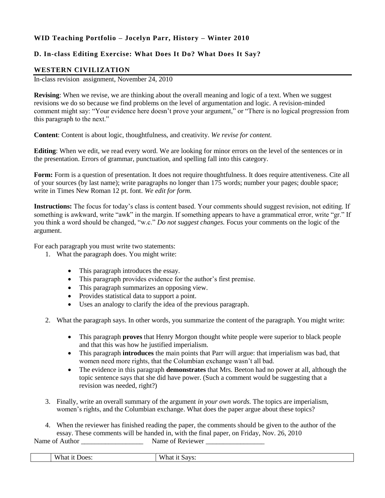## **WID Teaching Portfolio – Jocelyn Parr, History – Winter 2010**

## **D. In-class Editing Exercise: What Does It Do? What Does It Say?**

## **WESTERN CIVILIZATION**

In-class revision assignment, November 24, 2010

**Revising**: When we revise, we are thinking about the overall meaning and logic of a text. When we suggest revisions we do so because we find problems on the level of argumentation and logic. A revision-minded comment might say: "Your evidence here doesn't prove your argument," or "There is no logical progression from this paragraph to the next."

**Content**: Content is about logic, thoughtfulness, and creativity. *We revise for content.*

**Editing**: When we edit, we read every word. We are looking for minor errors on the level of the sentences or in the presentation. Errors of grammar, punctuation, and spelling fall into this category.

**Form:** Form is a question of presentation. It does not require thoughtfulness. It does require attentiveness. Cite all of your sources (by last name); write paragraphs no longer than 175 words; number your pages; double space; write in Times New Roman 12 pt. font. *We edit for form.*

**Instructions:** The focus for today's class is content based. Your comments should suggest revision, not editing. If something is awkward, write "awk" in the margin. If something appears to have a grammatical error, write "gr." If you think a word should be changed, "w.c." *Do not suggest changes.* Focus your comments on the logic of the argument.

For each paragraph you must write two statements:

- 1. What the paragraph does. You might write:
	- This paragraph introduces the essay.
	- This paragraph provides evidence for the author's first premise.
	- This paragraph summarizes an opposing view.
	- Provides statistical data to support a point.
	- Uses an analogy to clarify the idea of the previous paragraph.
- 2. What the paragraph says. In other words, you summarize the content of the paragraph. You might write:
	- This paragraph **proves** that Henry Morgon thought white people were superior to black people and that this was how he justified imperialism.
	- This paragraph **introduces** the main points that Parr will argue: that imperialism was bad, that women need more rights, that the Columbian exchange wasn't all bad.
	- The evidence in this paragraph **demonstrates** that Mrs. Beeton had no power at all, although the topic sentence says that she did have power. (Such a comment would be suggesting that a revision was needed, right?)
- 3. Finally, write an overall summary of the argument *in your own words.* The topics are imperialism, women's rights, and the Columbian exchange. What does the paper argue about these topics?
- 4. When the reviewer has finished reading the paper, the comments should be given to the author of the essay. These comments will be handed in, with the final paper, on Friday, Nov. 26, 2010 Name of Author Name of Reviewer